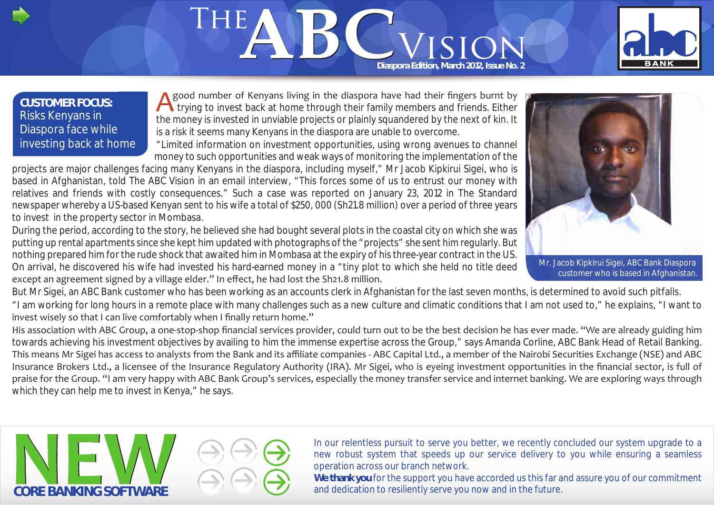# THE Diaspora Edition, March 2012, Issue No. 2



## **CUSTOMER FOCUS:** Risks Kenyans in Diaspora face while investing back at home

good number of Kenyans living in the diaspora have had their fingers burnt by trying to invest back at home through their family members and friends. Either the money is invested in unviable projects or plainly squandered by the next of kin. It is a risk it seems many Kenyans in the diaspora are unable to overcome.

"Limited information on investment opportunities, using wrong avenues to channel money to such opportunities and weak ways of monitoring the implementation of the

projects are major challenges facing many Kenyans in the diaspora, including myself," Mr Jacob Kipkirui Sigei, who is based in Afghanistan, told The ABC Vision in an email interview, "This forces some of us to entrust our money with relatives and friends with costly consequences." Such a case was reported on January 23, 2012 in The Standard newspaper whereby a US-based Kenyan sent to his wife a total of \$250, 000 (Sh21.8 million) over a period of three years to invest in the property sector in Mombasa.

During the period, according to the story, he believed she had bought several plots in the coastal city on which she was putting up rental apartments since she kept him updated with photographs of the "projects" she sent him regularly. But nothing prepared him for the rude shock that awaited him in Mombasa at the expiry of his three-year contract in the US. On arrival, he discovered his wife had invested his hard-earned money in a "tiny plot to which she held no title deed except an agreement signed by a village elder." In effect, he had lost the Sh21.8 million.

But Mr Sigei, an ABC Bank customer who has been working as an accounts clerk in Afghanistan for the last seven months, is determined to avoid such pitfalls. "I am working for long hours in a remote place with many challenges such as a new culture and climatic conditions that I am not used to," he explains, "I want to invest wisely so that I can live comfortably when I finally return home."

His association with ABC Group, a one-stop-shop financial services provider, could turn out to be the best decision he has ever made. "We are already guiding him towards achieving his investment objectives by availing to him the immense expertise across the Group," says Amanda Corline, ABC Bank Head of Retail Banking. This means Mr Sigei has access to analysts from the Bank and its affiliate companies - ABC Capital Ltd., a member of the Nairobi Securities Exchange (NSE) and ABC Insurance Brokers Ltd., a licensee of the Insurance Regulatory Authority (IRA). Mr Sigei, who is eyeing investment opportunities in the financial sector, is full of praise for the Group. "I am very happy with ABC Bank Group's services, especially the money transfer service and internet banking. We are exploring ways through which they can help me to invest in Kenya," he says.



In our relentless pursuit to serve you better, we recently concluded our system upgrade to a new robust system that speeds up our service delivery to you while ensuring a seamless operation across our branch network.

**We thank you** for the support you have accorded us this far and assure you of our commitment

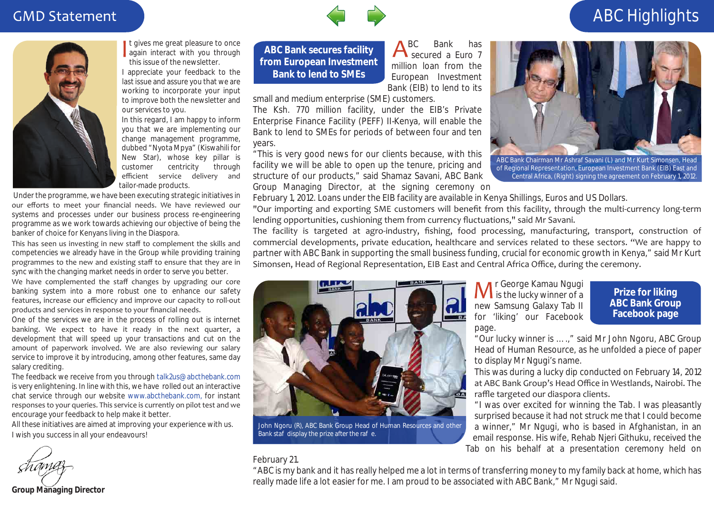## **GMD Statement**



It gives me great pleasure to once again interact with you through this issue of the newsletter. I appreciate your feedback to the

last issue and assure you that we are working to incorporate your input to improve both the newsletter and our services to you.

In this regard, I am happy to inform you that we are implementing our change management programme, dubbed "Nyota Mpya" (Kiswahili for New Star), whose key pillar is customer centricity through efficient service delivery and tailor-made products.

 Under the programme, we have been executing strategic initiatives in our efforts to meet your financial needs. We have reviewed our systems and processes under our business process re-engineering programme as we work towards achieving our objective of being the banker of choice for Kenyans living in the Diaspora.

This has seen us investing in new staff to complement the skills and competencies we already have in the Group while providing training programmes to the new and existing staff to ensure that they are in sync with the changing market needs in order to serve you better.

We have complemented the staff changes by upgrading our core banking system into a more robust one to enhance our safety features, increase our efficiency and improve our capacity to roll-out products and services in response to your financial needs.

One of the services we are in the process of rolling out is internet banking. We expect to have it ready in the next quarter, a development that will speed up your transactions and cut on the amount of paperwork involved. We are also reviewing our salary service to improve it by introducing, among other features, same day salary crediting.

The feedback we receive from you through *talk2us@abcthebank.com* is very enlightening. In line with this, we have rolled out an interactive chat service through our website *www.abcthebank.com,* for instant responses to your queries. This service is currently on pilot test and we encourage your feedback to help make it better.

All these initiatives are aimed at improving your experience with us. I wish you success in all your endeavours!

**Group Managing Director**

**ABC Bank secures facility from European Investment Bank to lend to SMEs**

BC Bank has secured a Euro 7 million loan from the European Investment Bank (EIB) to lend to its

small and medium enterprise (SME) customers.

The Ksh. 770 million facility, under the EIB's Private Enterprise Finance Facility (PEFF) II-Kenya, will enable the Bank to lend to SMEs for periods of between four and ten years.

"This is very good news for our clients because, with this facility we will be able to open up the tenure, pricing and structure of our products," said Shamaz Savani, ABC Bank Group Managing Director, at the signing ceremony on



"Our importing and exporting SME customers will benefit from this facility, through the multi-currency long-term lending opportunities, cushioning them from currency fluctuations," said Mr Savani.

The facility is targeted at agro-industry, fishing, food processing, manufacturing, transport, construction of commercial developments, private education, healthcare and services related to these sectors. "We are happy to partner with ABC Bank in supporting the small business funding, crucial for economic growth in Kenya," said Mr Kurt Simonsen, Head of Regional Representation, EIB East and Central Africa Office, during the ceremony.



John Ngoru (R), ABC Bank Group Head of Human Resources and other Bank sta display the prize after the rae.

r George Kamau Ngugi **IVI** is the lucky winner of a new Samsung Galaxy Tab II for 'liking' our Facebook page.

#### **Prize for liking ABC Bank Group Facebook page**

"Our lucky winner is ….," said Mr John Ngoru, ABC Group Head of Human Resource, as he unfolded a piece of paper to display Mr Ngugi's name.

This was during a lucky dip conducted on February 14, 2012 at ABC Bank Group's Head Office in Westlands, Nairobi. The raffle targeted our diaspora clients.

"I was over excited for winning the Tab. I was pleasantly surprised because it had not struck me that I could become a winner," Mr Ngugi, who is based in Afghanistan, in an email response. His wife, Rehab Njeri Githuku, received the Tab on his behalf at a presentation ceremony held on

#### February 21.

"ABC is my bank and it has really helped me a lot in terms of transferring money to my family back at home, which has really made life a lot easier for me. I am proud to be associated with ABC Bank," Mr Ngugi said.

## ABC Highlights



ABC Bank Chairman Mr Ashraf Savani (L) and Mr Kurt Simonsen, Head of Regional Representation, European Investment Bank (EIB) East and Central Africa, (Right) signing the agreement on February 1, 2012.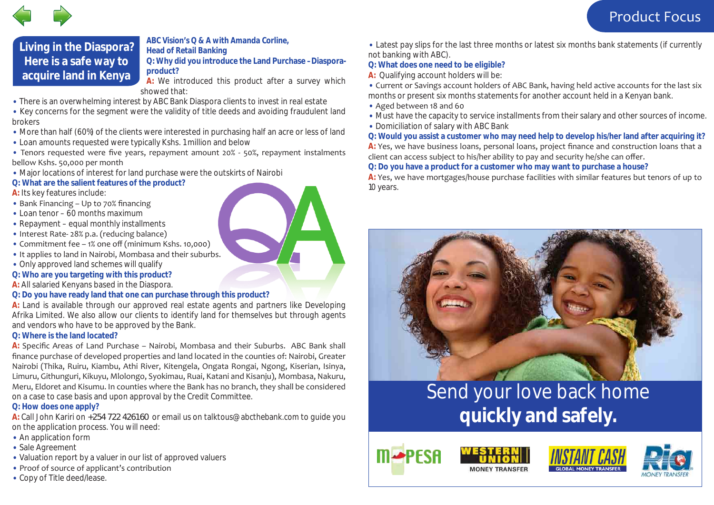

## **Living in the Diaspora? Here is a safe way to acquire land in Kenya**

#### *ABC Vision's Q & A with Amanda Corline, Head of Retail Banking*

**Q: Why did you introduce the Land Purchase –Diasporaproduct?**

**A:** We introduced this product after a survey which showed that:

• There is an overwhelming interest by ABC Bank Diaspora clients to invest in real estate

• Key concerns for the segment were the validity of title deeds and avoiding fraudulent land brokers

- More than half (60%) of the clients were interested in purchasing half an acre or less of land
- Loan amounts requested were typically Kshs. 1 million and below
- Tenors requested were five years, repayment amount 20% 50%, repayment instalments bellow Kshs. 50,000 per month
- Major locations of interest for land purchase were the outskirts of Nairobi
- **Q: What are the salient features of the product?**
- **A:** Its key features include:
- Bank Financing Up to 70% financing
- Loan tenor 60 months maximum
- Repayment equal monthly installments
- Interest Rate- 28% p.a. (reducing balance)
- Commitment fee 1% one off (minimum Kshs. 10,000)
- It applies to land in Nairobi, Mombasa and their suburbs.
- Only approved land schemes will qualify
- **Q: Who are you targeting with this product?**
- **A:** All salaried Kenyans based in the Diaspora.
- **Q: Do you have ready land that one can purchase through this product?**

**A:** Land is available through our approved real estate agents and partners like Developing Afrika Limited. We also allow our clients to identify land for themselves but through agents and vendors who have to be approved by the Bank.

### **Q: Where is the land located?**

**A:** Specific Areas of Land Purchase – Nairobi, Mombasa and their Suburbs. ABC Bank shall finance purchase of developed properties and land located in the counties of: Nairobi, Greater Nairobi (Thika, Ruiru, Kiambu, Athi River, Kitengela, Ongata Rongai, Ngong, Kiserian, Isinya, Limuru, Githunguri, Kikuyu, Mlolongo, Syokimau, Ruai, Katani and Kisanju), Mombasa, Nakuru, Meru, Eldoret and Kisumu. In counties where the Bank has no branch, they shall be considered on a case to case basis and upon approval by the Credit Committee.

### **Q: How does one apply?**

**A:** Call John Kariri on +254 722 426160 or email us on *talktous@abcthebank.com* to guide you on the application process. You will need:

- An application form
- Sale Agreement
- Valuation report by a valuer in our list of approved valuers
- Proof of source of applicant's contribution
- Copy of Title deed/lease.

• Latest pay slips for the last three months or latest six months bank statements (if currently not banking with ABC).

### **Q: What does one need to be eligible?**

**A:** Qualifying account holders will be:

• Current or Savings account holders of ABC Bank, having held active accounts for the last six months or present six months statements for another account held in a Kenyan bank.

- Aged between 18 and 60
- Must have the capacity to service installments from their salary and other sources of income.
- Domiciliation of salary with ABC Bank

**Q: Would you assist a customer who may need help to develop his/her land after acquiring it? A:** Yes, we have business loans, personal loans, project finance and construction loans that a client can access subject to his/her ability to pay and security he/she can offer.

**Q: Do you have a product for a customer who may want to purchase a house?**

**A:** Yes, we have mortgages/house purchase facilities with similar features but tenors of up to 10 years.



## Send your love back home **quickly and safely.**







**MONEY TRANSFER**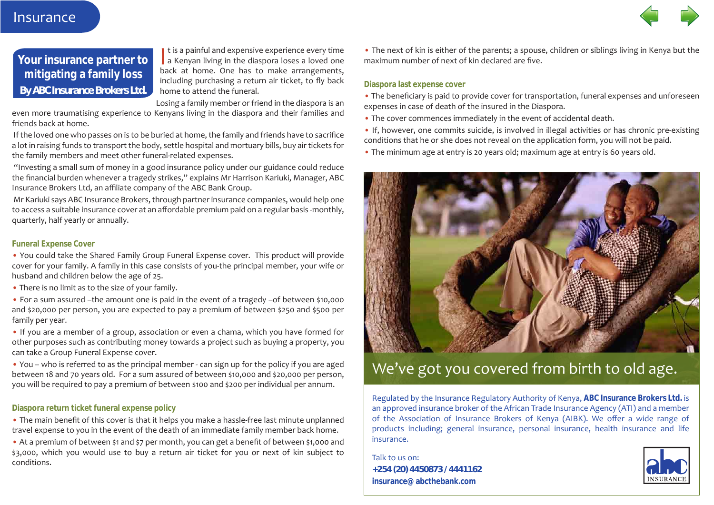

## **Your insurance partner to mitigating a family loss** *By ABC Insurance Brokers Ltd.*

I t is a painful and expensive experience every time a Kenyan living in the diaspora loses a loved one back at home. One has to make arrangements, including purchasing a return air ticket, to fly back home to attend the funeral.

Losing a family member or friend in the diaspora is an

even more traumatising experience to Kenyans living in the diaspora and their families and friends back at home.

 If the loved one who passes on is to be buried at home, the family and friends have to sacrifice a lot in raising funds to transport the body, settle hospital and mortuary bills, buy air tickets for the family members and meet other funeral-related expenses.

 "Investing a small sum of money in a good insurance policy under our guidance could reduce the financial burden whenever a tragedy strikes," explains Mr Harrison Kariuki, Manager, ABC Insurance Brokers Ltd, an affiliate company of the ABC Bank Group.

 Mr Kariuki says ABC Insurance Brokers, through partner insurance companies, would help one to access a suitable insurance cover at an affordable premium paid on a regular basis -monthly, quarterly, half yearly or annually.

#### **Funeral Expense Cover**

• You could take the Shared Family Group Funeral Expense cover. This product will provide cover for your family. A family in this case consists of you-the principal member, your wife or husband and children below the age of 25.

• There is no limit as to the size of your family.

• For a sum assured –the amount one is paid in the event of a tragedy –of between \$10,000 and \$20,000 per person, you are expected to pay a premium of between \$250 and \$500 per family per year.

• If you are a member of a group, association or even a chama, which you have formed for other purposes such as contributing money towards a project such as buying a property, you can take a Group Funeral Expense cover.

• You – who is referred to as the principal member - can sign up for the policy if you are aged between 18 and 70 years old. For a sum assured of between \$10,000 and \$20,000 per person, you will be required to pay a premium of between \$100 and \$200 per individual per annum.

#### **Diaspora return ticket funeral expense policy**

• The main benefit of this cover is that it helps you make a hassle-free last minute unplanned travel expense to you in the event of the death of an immediate family member back home.

• At a premium of between \$1 and \$7 per month, you can get a benefit of between \$1,000 and \$3,000, which you would use to buy a return air ticket for you or next of kin subject to conditions.

• The next of kin is either of the parents; a spouse, children or siblings living in Kenya but the maximum number of next of kin declared are five.

#### **Diaspora last expense cover**

• The beneficiary is paid to provide cover for transportation, funeral expenses and unforeseen expenses in case of death of the insured in the Diaspora.

• The cover commences immediately in the event of accidental death.

• If, however, one commits suicide, is involved in illegal activities or has chronic pre-existing conditions that he or she does not reveal on the application form, you will not be paid.

• The minimum age at entry is 20 years old; maximum age at entry is 60 years old.



## We've got you covered from birth to old age.

Regulated by the Insurance Regulatory Authority of Kenya, **ABC Insurance Brokers Ltd.** is an approved insurance broker of the African Trade Insurance Agency (ATI) and a member of the Association of Insurance Brokers of Kenya (AIBK). We offer a wide range of products including; general insurance, personal insurance, health insurance and life insurance.

Talk to us on: **+254 (20) 4450873 / 4441162 insurance@abcthebank.com**